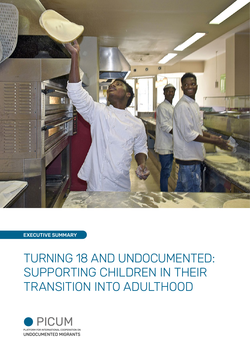

## EXECUTIVE SUMMARY

# TURNING 18 AND UNDOCUMENTED: SUPPORTING CHILDREN IN THEIR TRANSITION INTO ADULTHOOD

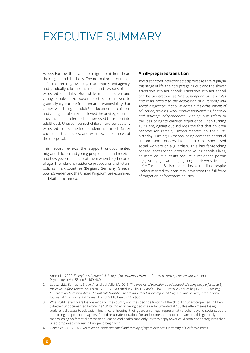## EXECUTIVE SUMMARY

Across Europe, thousands of migrant children dread their eighteenth birthday. The normal order of things is for children to grow up, gain autonomy and agency, and gradually take up the roles and responsibilities expected of adults. But, while most children and young people in European societies are allowed to gradually try out the freedom and responsibility that comes with being an adult,<sup>1</sup> undocumented children and young people are not allowed the privilege of time. They face an accelerated, compressed transition into adulthood. Unaccompanied children are particularly expected to become independent at a much faster pace than their peers, and with fewer resources at their disposal.

This report reviews the support undocumented migrant children and young people need and receive, and how governments treat them when they become of age. The relevant residence procedures and return policies in six countries (Belgium, Germany, Greece, Spain, Sweden and the United Kingdom) are examined in detail in the annex.

2

#### An ill-prepared transition

Two distinct yet interconnected processes are at play in this stage of life: the abrupt 'ageing out' and the slower 'transition into adulthood'. Transition into adulthood can be understood as *"the assumption of new roles and tasks related to the acquisition of autonomy and social integration, that culminates in the achievement of education, training, work, mature relationships, financial and housing independence."*<sup>2</sup> 'Ageing out' refers to the loss of rights children experience when turning 18.3 Here, ageing out includes the fact that children become (or remain) undocumented on their 18th birthday. Turning 18 means losing access to essential support and services like health care, specialised social workers or a guardian. This has far-reaching consequences for children's and young people's lives, as most adult pursuits require a residence permit (e.g., studying, working, getting a driver's license, etc).4 Turning 18 also means losing the little respite undocumented children may have from the full force of migration enforcement policies.

- 1 Arnett J.J., 2000, *Emerging Adulthood. A theory of development from the late teens through the twenties*, American Psychologist Vol. 55, no.5, 469-480
- 2 López, M.L., Santos, I., Bravo, A. and del Valle, J.F., 2013, *The process of transition to adulthood of young people fostered by the child welfare system*. An. Psicol., 29, 187–196; cited in Gullo, F., García-Alba, L., Bravo, A., del Valle, J.F., 2021, *[Crossing](https://www.mdpi.com/1660-4601/18/13/6935)  [Countries and Crossing Ages: The Difficult Transition to Adulthood of Unaccompanied Migrant Care Leavers](https://www.mdpi.com/1660-4601/18/13/6935)*, International Journal of Environmental Research and Public Health, 18, 6935
- 3 What rights exactly are lost depends on the country and the specific situation of the child. For unaccompanied children (whether undocumented before the 18<sup>th</sup> birthday or having become undocumented at 18), this often means losing preferential access to education, health care, housing, their guardian or legal representative, other psycho-social support and losing the protection against forced return/deportation. For undocumented children in families, this generally means losing preferential access to education and health care 'only', as they enjoy fewer child protection safeguards than unaccompanied children in Europe to begin with.
- 4 Gonzales R.G., 2016, *Lives in limbo. Undocumented and coming of age in America*, University of California Press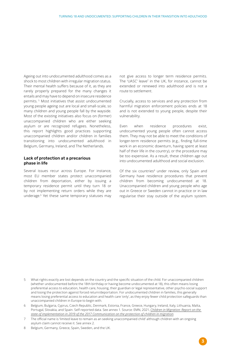Ageing out into undocumented adulthood comes as a shock to most children with irregular migration status. Their mental health suffers because of it, as they are rarely properly prepared for the many changes it entails and may have to depend on insecure residence permits. 5 Most initiatives that assist undocumented young people ageing out are local and small-scale, so many children and young people fall by the wayside. Most of the existing initiatives also focus on (former) unaccompanied children who are either seeking asylum or are recognized refugees. Nonetheless, this report highlights good practices supporting unaccompanied children and/or children in families transitioning into undocumented adulthood in Belgium, Germany, Ireland, and The Netherlands.

#### Lack of protection at a precarious phase in life

Several issues recur across Europe. For instance, most EU member states protect unaccompanied children from deportation, either by issuing a temporary residence permit until they turn 18 or by not implementing return orders while they are underage.6 Yet these same temporary statuses may not give access to longer term residence permits. The 'UASC' leave<sup>7</sup> in the UK, for instance, cannot be extended or renewed into adulthood and is not a route to settlement.

Crucially, access to services and any protection from harmful migration enforcement policies ends at 18 and is not extended to young people, despite their vulnerability.

Even when residence procedures exist, undocumented young people often cannot access them. They may not be able to meet the conditions of longer-term residence permits (e.g., finding full-time work in an economic downturn, having spent at least half of their life in the country), or the procedure may be too expensive. As a result, these children age out into undocumented adulthood and social exclusion.

Of the six countries<sup>8</sup> under review, only Spain and Germany have residence procedures that prevent children from becoming undocumented at 18. Unaccompanied children and young people who age out in Greece or Sweden cannot in practice or in law regularise their stay outside of the asylum system.

3

- 5 What rights exactly are lost depends on the country and the specific situation of the child. For unaccompanied children (whether undocumented before the 18th birthday or having become undocumented at 18), this often means losing preferential access to education, health care, housing, their guardian or legal representative, other psycho-social support and losing the protection against forced return/deportation. For undocumented children in families, this generally means losing preferential access to education and health care 'only', as they enjoy fewer child protection safeguards than unaccompanied children in Europe to begin with.
- 6 Belgium, Bulgaria, Cyprus, Czech Republic, Denmark, Estonia, France, Greece, Hungary, Ireland, Italy, Lithuania, Malta, Portugal, Slovakia, and Spain. Self-reported data. See annex 1. Source: EMN, 2021, *[Children in Migration: Report on the](https://emn.ie/publications/children-in-migration-report-on-the-state-of-implementation-in-2019-of-the-2017-communication-on-the-protection-of-children-in-migration/)  [state of implementation in 2019 of the 2017 Communication on the protection of children in migration](https://emn.ie/publications/children-in-migration-report-on-the-state-of-implementation-in-2019-of-the-2017-communication-on-the-protection-of-children-in-migration/)*.
- 7 The official name is 'limited leave to remain as an seeking unaccompanied child' although children with an ongoing asylum claim cannot receive it. See annex 2.
- 8 Belgium, Germany, Greece, Spain, Sweden, and the UK.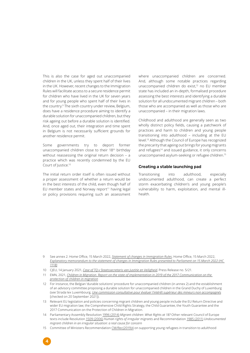This is also the case for aged out unaccompanied children in the UK, unless they spent half of their lives in the UK. However, recent changes to the Immigration Rules will facilitate access to a secure residence permit for children who have lived in the UK for seven years and for young people who spent half of their lives in the country.9 The sixth country under review, Belgium, does have a residence procedure aiming to identify a durable solution for unaccompanied children, but they risk ageing out before a durable solution is identified. And, once aged out, their integration and time spent in Belgium is not necessarily sufficient grounds for another residence permit.

Some governments try to deport former unaccompanied children close to their 18th birthday without reassessing the original return decision – a practice which was recently condemned by the EU Court of Justice.<sup>10</sup>

The initial return order itself is often issued without a proper assessment of whether a return would be in the best interests of the child, even though half of EU member states and Norway report $11$  having legal or policy provisions requiring such an assessment

4

where unaccompanied children are concerned. And, although some notable practices regarding unaccompanied children do exist,12 no EU member state has included an in-depth, formalised procedure assessing the best interests and identifying a durable solution for all undocumented migrant children – both those who are accompanied as well as those who are unaccompanied – in their migration laws.

Childhood and adulthood are generally seen as two wholly distinct policy fields, causing a patchwork of practices and harm to children and young people transitioning into adulthood – including at the EU level.13 Although the Council of Europe has recognized the precarity that ageing out brings for young migrants and refugees<sup>14</sup> and issued guidance, it only concerns unaccompanied asylum-seeking or refugee children.15

#### Creating a stable launching pad

Transitioning into adulthood, especially undocumented adulthood, can create a perfect storm exacerbating children's and young people's vulnerability to harm, exploitation, and mental illhealth.

- 10 CJEU, 14 January 2021, *[Case of TQ v Staatssecretaris van Justitie en Veiligheid](https://curia.europa.eu/jcms/upload/docs/application/pdf/2021-01/cp210005en.pdf)*, Press Release no. 5/21.
- 11 EMN, 2021, *[Children in Migration. Report on the state of implementation in 2019 of the 2017 Communication on the](https://emn.ie/publications/children-in-migration-report-on-the-state-of-implementation-in-2019-of-the-2017-communication-on-the-protection-of-children-in-migration/)  [protection of children in migration](https://emn.ie/publications/children-in-migration-report-on-the-state-of-implementation-in-2019-of-the-2017-communication-on-the-protection-of-children-in-migration/)*
- 12 For instance, the Belgian 'durable solutions' procedure for unaccompanied children (in annex 2) and the establishment of an advisory committee proposing a durable solution for unaccompanied children in the Grand Duchy of Luxemburg (see Strada lex Luxembourg, *[Une commission consultative pour évaluer l'intérêt supérieur des mineurs non accompagnés](https://www.stradalex.lu/fr/slu_news/document/slu_news_breve20191127-2-fr)* [checked on 20 September 2021]).
- 13 Relevant EU legislation and policies concerning migrant children and young people include the EU Return Directive and wider EU migration law; the Comprehensive Child Rights Strategy, the Child Guarantee, the Youth Guarantee and the 2017 Communication on the Protection of Children in Migration.
- 14 Parliamentary Assembly Resolution [1996 \(2014\)](https://pace.coe.int/en/files/20926?__cf_chl_jschl_tk__=kD8AlEy3QUjXDgEL.heFGBmO6Dunv1eaQY8Blg9f654-1641841515-0-gaNycGzNCOU) *Migrant children: What Rights at 18?* Other relevant Council of Europe texts include Resolution [1509 \(2006\)](http://assembly.coe.int/nw/xml/XRef/Xref-XML2HTML-en.asp?fileid=17456&lang=EN) *Human rights of irregular migrants* and Recommendation [1985 \(2011\)](https://pace.coe.int/en/files/13007?__cf_chl_jschl_tk__=Gslsez6kZ3.mdye8vprrs_wTED7feBU5HBb6Gyf.QpY-1642603266-0-gaNycGzNCJE) *Undocumented migrant children in an irregular situation: a real cause for concern*
- 15 Committee of Ministers Recommendation CM/Rec(2019)4 on supporting young refugees in transition to adulthood

<sup>9</sup> See annex 2. Home Office, 15 March 2022, *[Statement of changes in Immigration Rules](https://assets.publishing.service.gov.uk/government/uploads/system/uploads/attachment_data/file/1061106/E02724891_-_Immigration_Rules_changes_-_HC_1118__Web_Accessible_.pdf)*; Home Office, 15 March 2022, *[Explanatory memorandum to the statement of changes in Immigration Rules presented to Parliament on 15 March 2022 \(HC](https://assets.publishing.service.gov.uk/government/uploads/system/uploads/attachment_data/file/1060728/E02724891_-__HC_1118__-_EXPLANATORY_MEMORANDUM__Web_Acessible_.pdf)  [1118\)](https://assets.publishing.service.gov.uk/government/uploads/system/uploads/attachment_data/file/1060728/E02724891_-__HC_1118__-_EXPLANATORY_MEMORANDUM__Web_Acessible_.pdf)*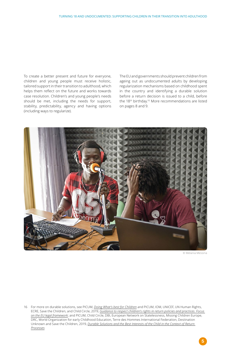To create a better present and future for everyone, children and young people must receive holistic, tailored support in their transition to adulthood, which helps them reflect on the future and works towards case resolution. Children's and young people's needs should be met, including the needs for support, stability, predictability, agency and having options (including ways to regularize).

The EU and governments should prevent children from ageing out as undocumented adults by developing regularization mechanisms based on childhood spent in the country and identifying a durable solution before a return decision is issued to a child, before the 18th birthday.16 More recommendations are listed on pages 8 and 9.



© Melania Messina

5

16 For more on durable solutions, see PICUM, *[Doing What's best for Children](http://www.picum.org/durablesolutions)* and PICUM, IOM, UNICEF, UN Human Rights, ECRE, Save the Children, and Child Circle, 2019, *[Guidance to respect children's rights in return policies and practices. Focus](https://picum.org/wp-content/uploads/2019/09/2019_Guidance_childrens_rights_in_return_policies.pdf)  [on the EU legal framework](https://picum.org/wp-content/uploads/2019/09/2019_Guidance_childrens_rights_in_return_policies.pdf)*; and PICUM, Child Circle, DBI, European Network on Statelessness, Missing Children Europe, DRC, World Organization for early Childhood Education, Terre des Hommes International Federation, Destination Unknown and Save the Children, 2019, *[Durable Solutions and the Best Interests of the Child in the Context of Return](https://picum.org/wp-content/uploads/2019/09/2019_Durable_solutions_joint_brief_ENG.pdf)  [Processes](https://picum.org/wp-content/uploads/2019/09/2019_Durable_solutions_joint_brief_ENG.pdf)*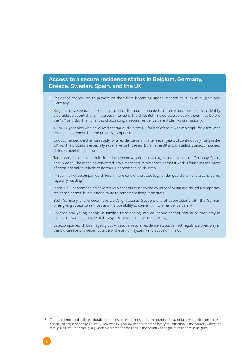## Access to a secure residence status in Belgium, Germany, Greece, Sweden, Spain, and the UK

- Residence procedures to prevent children from becoming undocumented at 18 exist in Spain and Germany.
- ɽ Belgium has a separate residence procedure for unaccompanied children whose purpose is to identify a durable solution<sup>17</sup> that is in the best interest of the child. But if no durable solution is identified before the 18<sup>th</sup> birthday, their chances of accessing a secure residence permit shrinks dramatically.
- ▶ 18-to-24-year-olds who have lived continuously in the UK for half of their lives can apply for a five-year route to settlement, but the process is expensive.
- ɽ Undocumented children can apply for a residence permit after seven years of continuously living in the UK, but the process is especially expensive for those not born in the UK and it is unlikely unaccompanied children meet the criteria.
- ɽ Temporary residence permits for education or vocational training exist (or existed) in Germany, Spain, and Sweden. These can be converted into a more secure residence permit if work is found in time. Most of these are only available to (former) unaccompanied children.
- In Spain, all unaccompanied children in the care of the state (e.g., under guardianship) are considered regularly residing.
- In the UK, unaccompanied children who cannot return to the country of origin are issued a temporary residence permit, but it is not a route to settlement (long-term stay).
- ɽ Both Germany and Greece have '*Duldung'* statuses (suspensions of deportation), with the German ones giving access to services and the possibility to convert it into a residence permit.
- ɽ Children and young people in families transitioning into adulthood cannot regularize their stay in Greece or Sweden outside of the asylum system (in practice or in law).
- Unaccompanied children ageing out without a secure residence status cannot regularize their stay in the UK, Greece or Sweden outside of the asylum system (in practice or in law).

6

<sup>17</sup> For unaccompanied children, durable solutions are either integration in country of stay or family reunification in the country of origin or a third country. However, Belgian law defines them as family reunification in the country where the family lives; return to family, a guardian or reception facilities in the country of origin; or residence in Belgium.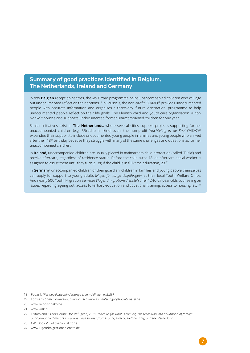## Summary of good practices identified in Belgium, The Netherlands, Ireland and Germany

In two **Belgian** reception centres, the *My Future* programme helps unaccompanied children who will age out undocumented reflect on their options.<sup>18</sup> In Brussels, the non-profit SAAMO19 provides undocumented people with accurate information and organises a three-day 'future orientation' programme to help undocumented people reflect on their life goals. The Flemish child and youth care organisation Minor-Ndako<sup>20</sup> houses and supports undocumented former unaccompanied children for one year.

Similar initiatives exist in **The Netherlands**, where several cities support projects supporting former unaccompanied children (e.g., Utrecht). In Eindhoven, the non-profit *Vluchteling in de Knel* ('VIDK')<sup>21</sup> expanded their support to include undocumented young people in families and young people who arrived after their 18th birthday because they struggle with many of the same challenges and questions as former unaccompanied children.

In **Ireland**, unaccompanied children are usually placed in mainstream child protection (called 'Tusla') and receive aftercare, regardless of residence status. Before the child turns 18, an aftercare social worker is assigned to assist them until they turn 21 or, if the child is in full-time education, 23.<sup>22</sup>

In **Germany**, unaccompanied children or their guardian, children in families and young people themselves can apply for support to young adults (*Hilfen für Junge Volljährige*) <sup>23</sup> at their local Youth Welfare Office. And nearly 500 Youth Migration Services (*'Jugendmigrationsdienste'*) offer 12-to-27-year-olds counseling on issues regarding ageing out, access to tertiary education and vocational training, access to housing, etc.<sup>24</sup>

18 Fedasil, *[Niet-begeleide minderjarige vreemdelingen \(NBMV\)](https://www.fedasil.be/nl/asiel-belgie/minderjarigen/niet-begeleide-minderjarige-vreemdelingen-nbmv)*

19 Formerly *Samenlevingsopbouw Brussel. [www.samenlevingsopbouwbrussel.be](http://www.samenlevingsopbouwbrussel.be/)*

<sup>20</sup> [www.minor-ndako.be](http://www.minor-ndako.be/)

<sup>21</sup> [www.vidk.nl](http://www.vidk.nl/)

<sup>22</sup> Oxfam and Greek Council for Refugees, 2021, *[Teach us for what is coming. The transition into adulthood of foreign](https://www.oxfam.org/en/research/teach-us-what-coming)  [unaccompanied minors in Europe: case studies from France, Greece, Ireland, Italy, and the Netherlands](https://www.oxfam.org/en/research/teach-us-what-coming)*

<sup>23</sup> § 41 Book VIII of the Social Code

<sup>24</sup> [www.jugendmigrationsdienste.de](http://www.jugendmigrationsdienste.de/)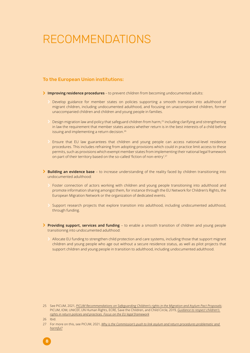## RECOMMENDATIONS

### To the European Union institutions:

- ɽ **Improving residence procedures** to prevent children from becoming undocumented adults:
	- Develop guidance for member states on policies supporting a smooth transition into adulthood of migrant children, including undocumented adulthood, and focusing on unaccompanied children, former unaccompanied children and children and young people in families.
	- Design migration law and policy that safeguard children from harm,<sup>25</sup> including clarifying and strengthening in law the requirement that member states assess whether return is in the best interests of a child before issuing and implementing a return decision.<sup>26</sup>
	- ɽ Ensure that EU law guarantees that children and young people can access national-level residence procedures. This includes refraining from adopting provisions which could in practice limit access to these permits, such as provisions which exempt member states from implementing their national legal framework on part of their territory based on the so-called 'fiction of non-entry'.<sup>27</sup>
- **▶ Building an evidence base** to increase understanding of the reality faced by children transitioning into undocumented adulthood:
	- Foster connection of actors working with children and young people transitioning into adulthood and promote information sharing amongst them, for instance through the EU Network for Children's Rights, the European Migration Network or the organization of dedicated events.
	- Support research projects that explore transition into adulthood, including undocumented adulthood, through funding.
- **▶ Providing support, services and funding** to enable a smooth transition of children and young people transitioning into undocumented adulthood:
	- Allocate EU funding to strengthen child protection and care systems, including those that support migrant children and young people who age out without a secure residence status, as well as pilot projects that support children and young people in transition to adulthood, including undocumented adulthood.

8

<sup>25</sup> See PICUM, 2021, *[PICUM Recommendations on Safeguarding Children's rights in the Migration and Asylum Pact Proposals](https://picum.org/wp-content/uploads/2021/06/Child-rights-in-the-Asylum-and-Migration-Pact_final.pdf)*; PICUM, IOM, UNICEF, UN Human Rights, ECRE, Save the Children, and Child Circle, 2019, *[Guidance to respect children's](https://picum.org/wp-content/uploads/2019/09/2019_Guidance_childrens_rights_in_return_policies.pdf)  [rights in return policies and practices. Focus on the EU legal framework](https://picum.org/wp-content/uploads/2019/09/2019_Guidance_childrens_rights_in_return_policies.pdf)*

<sup>26</sup> Ibid.

<sup>27</sup> For more on this, see PICUM, 2021, *[Why is the Commission's push to link asylum and return procedures problematic and](https://picum.org/wp-content/uploads/2021/10/Why-is-the-Commissions-push-to-link-asylum-and-return-procedures-problematic-and-harmful.pdf)  [harmful?](https://picum.org/wp-content/uploads/2021/10/Why-is-the-Commissions-push-to-link-asylum-and-return-procedures-problematic-and-harmful.pdf)*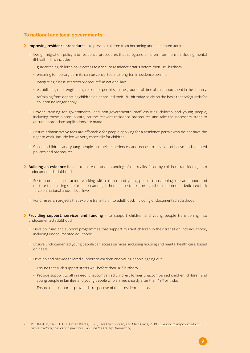### To national and local governments:

- ɽ **Improving residence procedures** to prevent children from becoming undocumented adults:
	- Design migration policy and residence procedures that safeguard children from harm, including mental ill-health. This includes:
		- guaranteeing children have access to a secure residence status before their 18<sup>th</sup> birthday,
		- ensuring temporary permits can be converted into long-term residence permits,
		- integrating a best interests procedure<sup>28</sup> in national law,
		- establishing or strengthening residence permits on the grounds of time of childhood spent in the country,
		- refraining from deporting children on or around their 18<sup>th</sup> birthday solely on the basis that safeguards for children no longer apply.
	- Provide training for governmental and non-governmental staff assisting children and young people, including those placed in care, on the relevant residence procedures and take the necessary steps to ensure appropriate applications are made.
	- ɽ Ensure administrative fees are affordable for people applying for <sup>a</sup> residence permit who do not have the right to work. Include fee waivers, especially for children.
	- ɽ Consult children and young people on their experiences and needs to develop effective and adapted policies and procedures.
- **► Building an evidence base** to increase understanding of the reality faced by children transitioning into undocumented adulthood:
	- Foster connection of actors working with children and young people transitioning into adulthood and nurture the sharing of information amongst them, for instance through the creation of a dedicated task force on national and/or local level.
	- ɽ Fund research projects that explore transition into adulthood, including undocumented adulthood.
- **Providing support, services and funding** to support children and young people transitioning into undocumented adulthood:
	- Develop, fund and support programmes that support migrant children in their transition into adulthood, including undocumented adulthood.
	- ɽ Ensure undocumented young people can access services, including housing and mental health care, based on need.
	- Develop and provide tailored support to children and young people ageing out:
		- Ensure that such support starts well before their 18<sup>th</sup> birthday
		- Provide support to all in need: unaccompanied children, former unaccompanied children, children and young people in families and young people who arrived shortly after their 18<sup>th</sup> birthday
		- Ensure that support is provided irrespective of their residence status.

<sup>28</sup> PICUM, IOM, UNICEF, UN Human Rights, ECRE, Save the Children, and Child Circle, 2019, *[Guidance to respect children's](https://picum.org/wp-content/uploads/2019/09/2019_Guidance_childrens_rights_in_return_policies.pdf)  [rights in return policies and practices. Focus on the EU legal framework](https://picum.org/wp-content/uploads/2019/09/2019_Guidance_childrens_rights_in_return_policies.pdf)*;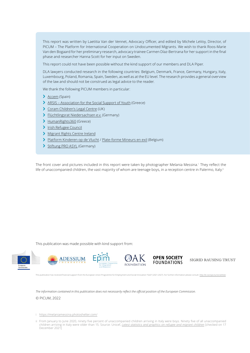This report was written by Laetitia Van der Vennet, Advocacy Officer, and edited by Michele LeVoy, Director, of PICUM – The Platform for International Cooperation on Undocumented Migrants. We wish to thank Roos-Marie Van den Bogaard for her preliminary research, advocacy trainee Carmen Díaz-Bertrana for her support in the final phase and researcher Hanna Scott for her input on Sweden.

This report could not have been possible without the kind support of our members and DLA Piper.

DLA lawyers conducted research in the following countries: Belgium, Denmark, France, Germany, Hungary, Italy, Luxembourg, Poland, Romania, Spain, Sweden, as well as at the EU level. The research provides a general overview of the law and should not be construed as legal advice to the reader.

We thank the following PICUM members in particular:

- > [Accem](https://www.accem.es/) (Spain)
- > [ARSIS Association for the Social Support of Youth](http://www.arsis.gr/en/home/) (Greece)
- > [Coram Children's Legal Centre](https://www.childrenslegalcentre.com/) (UK)
- ɽ [Flüchtlingsrat Niedersachsen e.v.](https://www.nds-fluerat.org/) (Germany)
- > [HumanRights360](https://www.humanrights360.org/) (Greece)
- > [Irish Refugee Council](https://www.irishrefugeecouncil.ie/)
- > [Migrant Rights Centre Ireland](https://www.mrci.ie/)
- ɽ [Platform Kinderen op de Vlucht](http://www.kinderenopdevlucht.be) / [Plate-forme Mineurs en exil](http://www.mineursenexil.be) (Belgium)
- > [Stiftung PRO ASYL](https://www.proasyl.de/) (Germany)

The front cover and pictures included in this report were taken by photographer Melania Messina.<sup>i</sup> They reflect the life of unaccompanied children, the vast majority of whom are teenage boys, in a reception centre in Palermo, Italy.ii

This publication was made possible with kind support from:











SIGRID RAUSING TRUST

This publication has received financial support from the European Union Programme for Employment and Social Innovation "EaSI" (2021-2027). For further information please consult: *<http://ec.europa.eu/social/easi>*

*The information contained in this publication does not necessarily reflect the official position of the European Commission.*

© PICUM, 2022

- i <https://melaniamessina.photoshelter.com/>
- ii From January to June 2020, ninety five percent of unaccompanied children arriving in Italy were boys. Ninety five of all unaccompanied children arriving in Italy were older than 15. Source: Unicef, *[Latest statistics and graphics on refugee and migrant children](https://www.unicef.org/eca/emergencies/latest-statistics-and-graphics-refugee-and-migrant-children)* [checked on 17 December 2021]